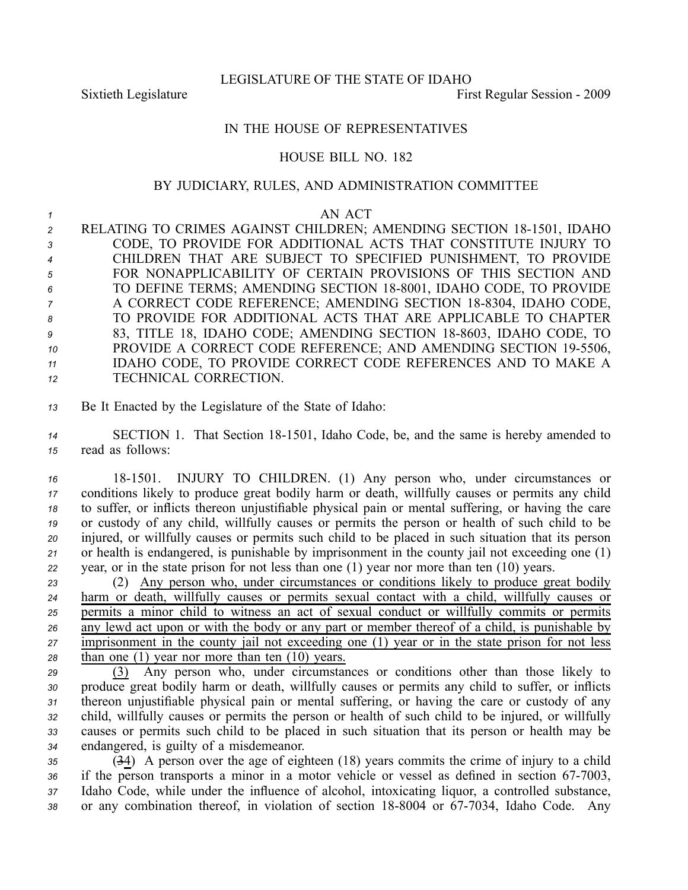LEGISLATURE OF THE STATE OF IDAHO

Sixtieth Legislature **First** Regular Session - 2009

## IN THE HOUSE OF REPRESENTATIVES

## HOUSE BILL NO. 182

## BY JUDICIARY, RULES, AND ADMINISTRATION COMMITTEE

*1* AN ACT

2 RELATING TO CRIMES AGAINST CHILDREN; AMENDING SECTION 18-1501, IDAHO CODE, TO PROVIDE FOR ADDITIONAL ACTS THAT CONSTITUTE INJURY TO CHILDREN THAT ARE SUBJECT TO SPECIFIED PUNISHMENT, TO PROVIDE FOR NONAPPLICABILITY OF CERTAIN PROVISIONS OF THIS SECTION AND TO DEFINE TERMS; AMENDING SECTION 188001, IDAHO CODE, TO PROVIDE A CORRECT CODE REFERENCE; AMENDING SECTION 18-8304, IDAHO CODE, TO PROVIDE FOR ADDITIONAL ACTS THAT ARE APPLICABLE TO CHAPTER 83, TITLE 18, IDAHO CODE; AMENDING SECTION 18-8603, IDAHO CODE, TO PROVIDE A CORRECT CODE REFERENCE; AND AMENDING SECTION 195506, IDAHO CODE, TO PROVIDE CORRECT CODE REFERENCES AND TO MAKE A TECHNICAL CORRECTION.

*<sup>13</sup>* Be It Enacted by the Legislature of the State of Idaho:

14 SECTION 1. That Section 18-1501, Idaho Code, be, and the same is hereby amended to *<sup>15</sup>* read as follows:

 181501. INJURY TO CHILDREN. (1) Any person who, under circumstances or conditions likely to produce grea<sup>t</sup> bodily harm or death, willfully causes or permits any child to suffer, or inflicts thereon unjustifiable physical pain or mental suffering, or having the care or custody of any child, willfully causes or permits the person or health of such child to be injured, or willfully causes or permits such child to be placed in such situation that its person or health is endangered, is punishable by imprisonment in the county jail not exceeding one (1) year, or in the state prison for not less than one (1) year nor more than ten (10) years.

 (2) Any person who, under circumstances or conditions likely to produce grea<sup>t</sup> bodily harm or death, willfully causes or permits sexual contact with <sup>a</sup> child, willfully causes or permits <sup>a</sup> minor child to witness an act of sexual conduct or willfully commits or permits any lewd act upon or with the body or any par<sup>t</sup> or member thereof of <sup>a</sup> child, is punishable by imprisonment in the county jail not exceeding one (1) year or in the state prison for not less than one (1) year nor more than ten (10) years.

 (3) Any person who, under circumstances or conditions other than those likely to produce grea<sup>t</sup> bodily harm or death, willfully causes or permits any child to suffer, or inflicts thereon unjustifiable physical pain or mental suffering, or having the care or custody of any child, willfully causes or permits the person or health of such child to be injured, or willfully causes or permits such child to be placed in such situation that its person or health may be endangered, is guilty of <sup>a</sup> misdemeanor.

*<sup>35</sup>* (34) A person over the age of eighteen (18) years commits the crime of injury to <sup>a</sup> child 36 if the person transports a minor in a motor vehicle or vessel as defined in section 67-7003, *<sup>37</sup>* Idaho Code, while under the influence of alcohol, intoxicating liquor, <sup>a</sup> controlled substance, 38 or any combination thereof, in violation of section 18-8004 or 67-7034, Idaho Code. Any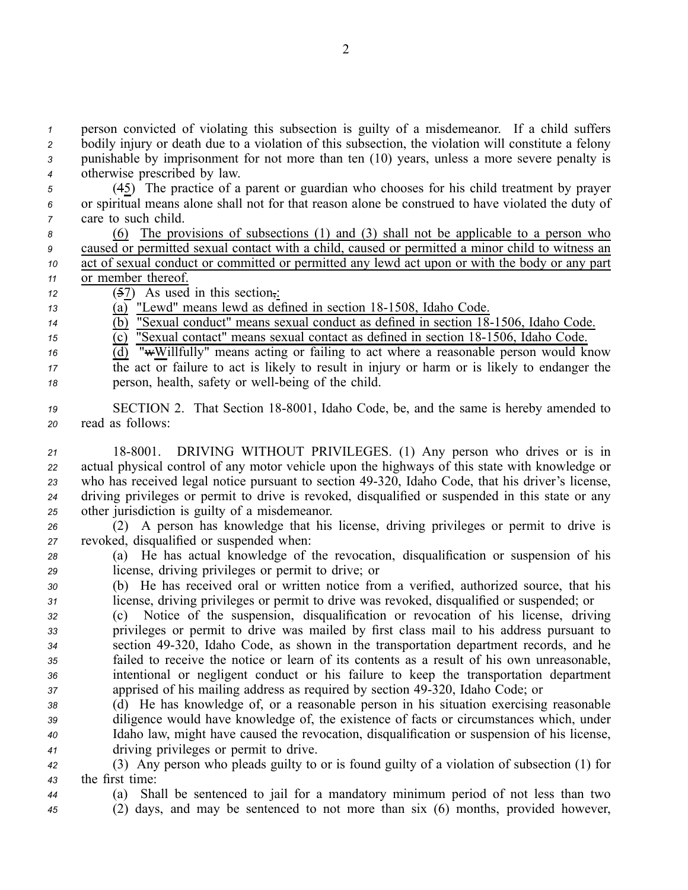person convicted of violating this subsection is guilty of <sup>a</sup> misdemeanor. If <sup>a</sup> child suffers bodily injury or death due to <sup>a</sup> violation of this subsection, the violation will constitute <sup>a</sup> felony punishable by imprisonment for not more than ten (10) years, unless <sup>a</sup> more severe penalty is otherwise prescribed by law.

*<sup>5</sup>* (45) The practice of <sup>a</sup> paren<sup>t</sup> or guardian who chooses for his child treatment by prayer *<sup>6</sup>* or spiritual means alone shall not for that reason alone be construed to have violated the duty of *<sup>7</sup>* care to such child.

 (6) The provisions of subsections (1) and (3) shall not be applicable to <sup>a</sup> person who caused or permitted sexual contact with <sup>a</sup> child, caused or permitted <sup>a</sup> minor child to witness an act of sexual conduct or committed or permitted any lewd act upon or with the body or any par<sup>t</sup> or member thereof.

- *<sup>12</sup>* (57) As used in this section,:
- 13 (a) "Lewd" means lewd as defined in section 18-1508, Idaho Code.

 $\overline{14}$  (b) "Sexual conduct" means sexual conduct as defined in section  $\overline{18}$ -1506, Idaho Code.

 $\overline{(c)}$  "Sexual contact" means sexual contact as defined in section 18-1506, Idaho Code.

 $\overline{d}$  (d) "wWillfully" means acting or failing to act where a reasonable person would know *<sup>17</sup>* the act or failure to act is likely to result in injury or harm or is likely to endanger the *18* person, health, safety or well-being of the child.

- 19 **SECTION 2.** That Section 18-8001, Idaho Code, be, and the same is hereby amended to *<sup>20</sup>* read as follows:
- *<sup>21</sup>* 188001. DRIVING WITHOUT PRIVILEGES. (1) Any person who drives or is in *<sup>22</sup>* actual physical control of any motor vehicle upon the highways of this state with knowledge or *<sup>23</sup>* who has received legal notice pursuan<sup>t</sup> to section 49320, Idaho Code, that his driver's license, *<sup>24</sup>* driving privileges or permit to drive is revoked, disqualified or suspended in this state or any *<sup>25</sup>* other jurisdiction is guilty of <sup>a</sup> misdemeanor.

*<sup>26</sup>* (2) A person has knowledge that his license, driving privileges or permit to drive is *<sup>27</sup>* revoked, disqualified or suspended when:

- *<sup>28</sup>* (a) He has actual knowledge of the revocation, disqualification or suspension of his *<sup>29</sup>* license, driving privileges or permit to drive; or
- *<sup>30</sup>* (b) He has received oral or written notice from <sup>a</sup> verified, authorized source, that his *<sup>31</sup>* license, driving privileges or permit to drive was revoked, disqualified or suspended; or
- *<sup>32</sup>* (c) Notice of the suspension, disqualification or revocation of his license, driving *<sup>33</sup>* privileges or permit to drive was mailed by first class mail to his address pursuan<sup>t</sup> to *<sup>34</sup>* section 49320, Idaho Code, as shown in the transportation department records, and he *<sup>35</sup>* failed to receive the notice or learn of its contents as <sup>a</sup> result of his own unreasonable, *<sup>36</sup>* intentional or negligent conduct or his failure to keep the transportation department *<sup>37</sup>* apprised of his mailing address as required by section 49320, Idaho Code; or
- *<sup>38</sup>* (d) He has knowledge of, or <sup>a</sup> reasonable person in his situation exercising reasonable *<sup>39</sup>* diligence would have knowledge of, the existence of facts or circumstances which, under *<sup>40</sup>* Idaho law, might have caused the revocation, disqualification or suspension of his license, *<sup>41</sup>* driving privileges or permit to drive.

*<sup>42</sup>* (3) Any person who pleads guilty to or is found guilty of <sup>a</sup> violation of subsection (1) for *<sup>43</sup>* the first time:

- *<sup>44</sup>* (a) Shall be sentenced to jail for <sup>a</sup> mandatory minimum period of not less than two
- *<sup>45</sup>* (2) days, and may be sentenced to not more than six (6) months, provided however,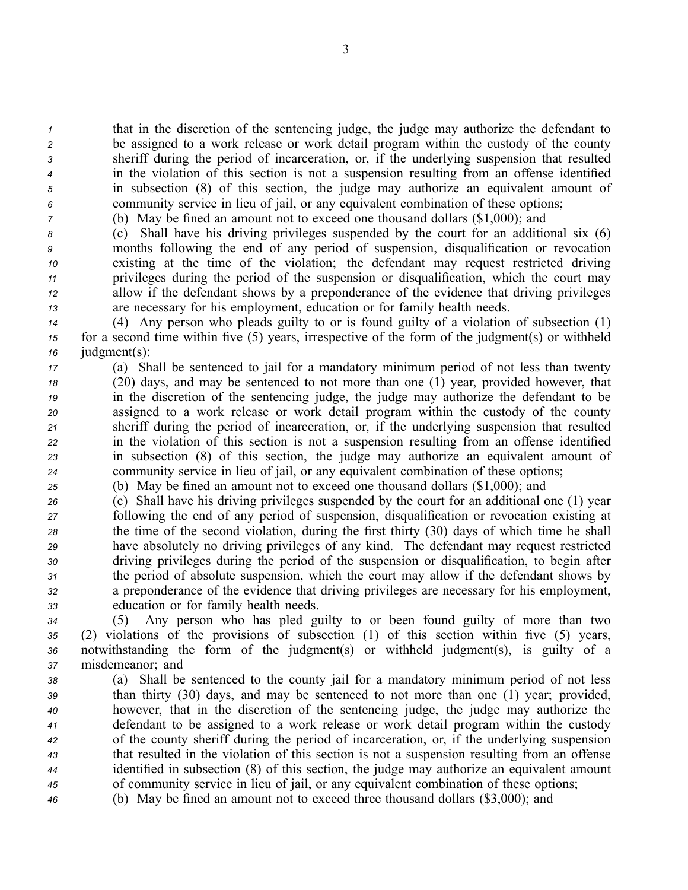that in the discretion of the sentencing judge, the judge may authorize the defendant to be assigned to <sup>a</sup> work release or work detail program within the custody of the county sheriff during the period of incarceration, or, if the underlying suspension that resulted in the violation of this section is not <sup>a</sup> suspension resulting from an offense identified in subsection (8) of this section, the judge may authorize an equivalent amount of community service in lieu of jail, or any equivalent combination of these options;

*<sup>7</sup>* (b) May be fined an amount not to exceed one thousand dollars (\$1,000); and

 (c) Shall have his driving privileges suspended by the court for an additional six (6) months following the end of any period of suspension, disqualification or revocation existing at the time of the violation; the defendant may reques<sup>t</sup> restricted driving privileges during the period of the suspension or disqualification, which the court may allow if the defendant shows by <sup>a</sup> preponderance of the evidence that driving privileges are necessary for his employment, education or for family health needs.

*<sup>14</sup>* (4) Any person who pleads guilty to or is found guilty of <sup>a</sup> violation of subsection (1) *<sup>15</sup>* for <sup>a</sup> second time within five (5) years, irrespective of the form of the judgment(s) or withheld *<sup>16</sup>* judgment(s):

- *<sup>17</sup>* (a) Shall be sentenced to jail for <sup>a</sup> mandatory minimum period of not less than twenty *<sup>18</sup>* (20) days, and may be sentenced to not more than one (1) year, provided however, that *<sup>19</sup>* in the discretion of the sentencing judge, the judge may authorize the defendant to be *<sup>20</sup>* assigned to <sup>a</sup> work release or work detail program within the custody of the county *<sup>21</sup>* sheriff during the period of incarceration, or, if the underlying suspension that resulted *<sup>22</sup>* in the violation of this section is not <sup>a</sup> suspension resulting from an offense identified *<sup>23</sup>* in subsection (8) of this section, the judge may authorize an equivalent amount of *<sup>24</sup>* community service in lieu of jail, or any equivalent combination of these options;
- *<sup>25</sup>* (b) May be fined an amount not to exceed one thousand dollars (\$1,000); and

 (c) Shall have his driving privileges suspended by the court for an additional one (1) year following the end of any period of suspension, disqualification or revocation existing at the time of the second violation, during the first thirty (30) days of which time he shall have absolutely no driving privileges of any kind. The defendant may reques<sup>t</sup> restricted driving privileges during the period of the suspension or disqualification, to begin after the period of absolute suspension, which the court may allow if the defendant shows by <sup>a</sup> preponderance of the evidence that driving privileges are necessary for his employment, education or for family health needs.

 (5) Any person who has pled guilty to or been found guilty of more than two (2) violations of the provisions of subsection (1) of this section within five (5) years, notwithstanding the form of the judgment(s) or withheld judgment(s), is guilty of <sup>a</sup> misdemeanor; and

 (a) Shall be sentenced to the county jail for <sup>a</sup> mandatory minimum period of not less than thirty (30) days, and may be sentenced to not more than one (1) year; provided, however, that in the discretion of the sentencing judge, the judge may authorize the defendant to be assigned to <sup>a</sup> work release or work detail program within the custody of the county sheriff during the period of incarceration, or, if the underlying suspension that resulted in the violation of this section is not <sup>a</sup> suspension resulting from an offense identified in subsection (8) of this section, the judge may authorize an equivalent amount of community service in lieu of jail, or any equivalent combination of these options;

*<sup>46</sup>* (b) May be fined an amount not to exceed three thousand dollars (\$3,000); and

3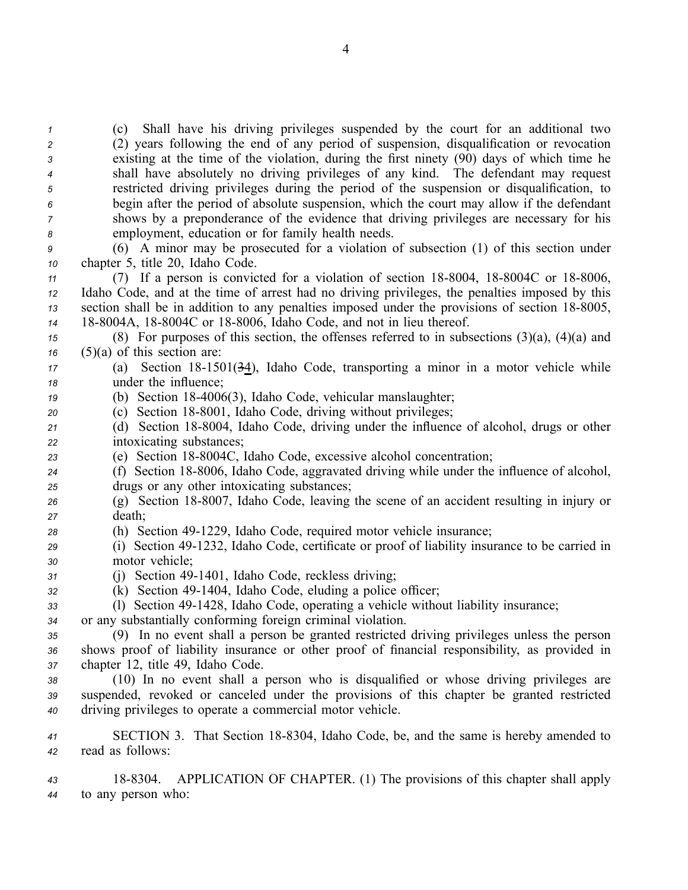(c) Shall have his driving privileges suspended by the court for an additional two (2) years following the end of any period of suspension, disqualification or revocation existing at the time of the violation, during the first ninety (90) days of which time he shall have absolutely no driving privileges of any kind. The defendant may reques<sup>t</sup> restricted driving privileges during the period of the suspension or disqualification, to begin after the period of absolute suspension, which the court may allow if the defendant shows by <sup>a</sup> preponderance of the evidence that driving privileges are necessary for his employment, education or for family health needs.

*<sup>9</sup>* (6) A minor may be prosecuted for <sup>a</sup> violation of subsection (1) of this section under *<sup>10</sup>* chapter 5, title 20, Idaho Code.

 (7) If a person is convicted for a violation of section 18-8004, 18-8004C or 18-8006, Idaho Code, and at the time of arrest had no driving privileges, the penalties imposed by this section shall be in addition to any penalties imposed under the provisions of section 18-8005, 14 18-8004A, 18-8004C or 18-8006, Idaho Code, and not in lieu thereof.

*<sup>15</sup>* (8) For purposes of this section, the offenses referred to in subsections (3)(a), (4)(a) and *<sup>16</sup>* (5)(a) of this section are:

*<sup>17</sup>* (a) Section 181501(34), Idaho Code, transporting <sup>a</sup> minor in <sup>a</sup> motor vehicle while *<sup>18</sup>* under the influence;

*<sup>19</sup>* (b) Section 184006(3), Idaho Code, vehicular manslaughter;

- 20 (c) Section 18-8001, Idaho Code, driving without privileges;
- 21 (d) Section 18-8004, Idaho Code, driving under the influence of alcohol, drugs or other *<sup>22</sup>* intoxicating substances;
- 23 (e) Section 18-8004C, Idaho Code, excessive alcohol concentration;
- 24 (f) Section 18-8006, Idaho Code, aggravated driving while under the influence of alcohol, *<sup>25</sup>* drugs or any other intoxicating substances;
- 26 (g) Section 18-8007, Idaho Code, leaving the scene of an accident resulting in injury or *<sup>27</sup>* death;
- 28 (h) Section 49-1229, Idaho Code, required motor vehicle insurance;
- *<sup>29</sup>* (i) Section 491232, Idaho Code, certificate or proof of liability insurance to be carried in *<sup>30</sup>* motor vehicle;
- *<sup>31</sup>* (j) Section 491401, Idaho Code, reckless driving;
- *<sup>32</sup>* (k) Section 491404, Idaho Code, eluding <sup>a</sup> police officer;
- *<sup>33</sup>* (l) Section 491428, Idaho Code, operating <sup>a</sup> vehicle without liability insurance;
- *<sup>34</sup>* or any substantially conforming foreign criminal violation.

*<sup>35</sup>* (9) In no event shall <sup>a</sup> person be granted restricted driving privileges unless the person *<sup>36</sup>* shows proof of liability insurance or other proof of financial responsibility, as provided in *<sup>37</sup>* chapter 12, title 49, Idaho Code.

*<sup>38</sup>* (10) In no event shall <sup>a</sup> person who is disqualified or whose driving privileges are *<sup>39</sup>* suspended, revoked or canceled under the provisions of this chapter be granted restricted *<sup>40</sup>* driving privileges to operate <sup>a</sup> commercial motor vehicle.

41 SECTION 3. That Section 18-8304, Idaho Code, be, and the same is hereby amended to *<sup>42</sup>* read as follows:

*<sup>43</sup>* 188304. APPLICATION OF CHAPTER. (1) The provisions of this chapter shall apply *<sup>44</sup>* to any person who: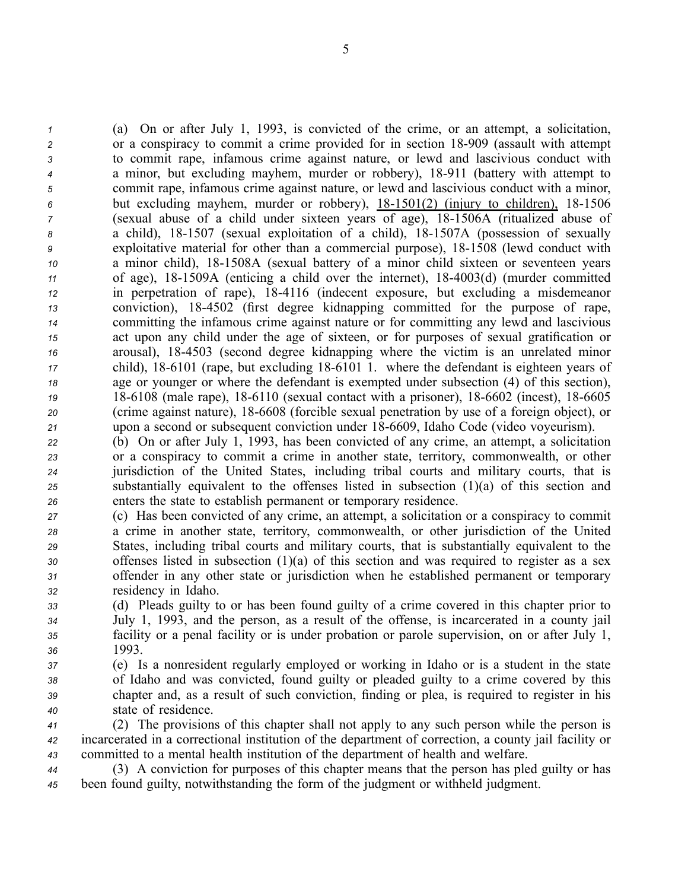(a) On or after July 1, 1993, is convicted of the crime, or an attempt, <sup>a</sup> solicitation, 2 or a conspiracy to commit a crime provided for in section 18-909 (assault with attempt to commit rape, infamous crime against nature, or lewd and lascivious conduct with <sup>a</sup> minor, but excluding mayhem, murder or robbery), 18911 (battery with attempt to commit rape, infamous crime against nature, or lewd and lascivious conduct with <sup>a</sup> minor, but excluding mayhem, murder or robbery), 181501(2) (injury to children), 181506 (sexual abuse of <sup>a</sup> child under sixteen years of age), 181506A (ritualized abuse of 8 a child), 18-1507 (sexual exploitation of a child), 18-1507A (possession of sexually exploitative material for other than <sup>a</sup> commercial purpose), 181508 (lewd conduct with <sup>a</sup> minor child), 181508A (sexual battery of <sup>a</sup> minor child sixteen or seventeen years 11 of age), 18-1509A (enticing a child over the internet), 18-4003(d) (murder committed in perpetration of rape), 184116 (indecent exposure, but excluding <sup>a</sup> misdemeanor conviction), 184502 (first degree kidnapping committed for the purpose of rape, committing the infamous crime against nature or for committing any lewd and lascivious act upon any child under the age of sixteen, or for purposes of sexual gratification or arousal), 184503 (second degree kidnapping where the victim is an unrelated minor child), 18-6101 (rape, but excluding 18-6101 1. where the defendant is eighteen years of age or younger or where the defendant is exempted under subsection (4) of this section), 19 18-6108 (male rape), 18-6110 (sexual contact with a prisoner), 18-6602 (incest), 18-6605 (crime against nature), 186608 (forcible sexual penetration by use of <sup>a</sup> foreign object), or upon <sup>a</sup> second or subsequent conviction under 186609, Idaho Code (video voyeurism).

 (b) On or after July 1, 1993, has been convicted of any crime, an attempt, <sup>a</sup> solicitation or <sup>a</sup> conspiracy to commit <sup>a</sup> crime in another state, territory, commonwealth, or other jurisdiction of the United States, including tribal courts and military courts, that is substantially equivalent to the offenses listed in subsection (1)(a) of this section and enters the state to establish permanen<sup>t</sup> or temporary residence.

 (c) Has been convicted of any crime, an attempt, <sup>a</sup> solicitation or <sup>a</sup> conspiracy to commit <sup>a</sup> crime in another state, territory, commonwealth, or other jurisdiction of the United States, including tribal courts and military courts, that is substantially equivalent to the offenses listed in subsection (1)(a) of this section and was required to register as <sup>a</sup> sex offender in any other state or jurisdiction when he established permanen<sup>t</sup> or temporary residency in Idaho.

 (d) Pleads guilty to or has been found guilty of <sup>a</sup> crime covered in this chapter prior to July 1, 1993, and the person, as <sup>a</sup> result of the offense, is incarcerated in <sup>a</sup> county jail facility or <sup>a</sup> penal facility or is under probation or parole supervision, on or after July 1, *36* 1993.

 (e) Is <sup>a</sup> nonresident regularly employed or working in Idaho or is <sup>a</sup> student in the state of Idaho and was convicted, found guilty or pleaded guilty to <sup>a</sup> crime covered by this chapter and, as <sup>a</sup> result of such conviction, finding or plea, is required to register in his state of residence.

*<sup>41</sup>* (2) The provisions of this chapter shall not apply to any such person while the person is *<sup>42</sup>* incarcerated in <sup>a</sup> correctional institution of the department of correction, <sup>a</sup> county jail facility or *<sup>43</sup>* committed to <sup>a</sup> mental health institution of the department of health and welfare.

*<sup>44</sup>* (3) A conviction for purposes of this chapter means that the person has pled guilty or has *<sup>45</sup>* been found guilty, notwithstanding the form of the judgment or withheld judgment.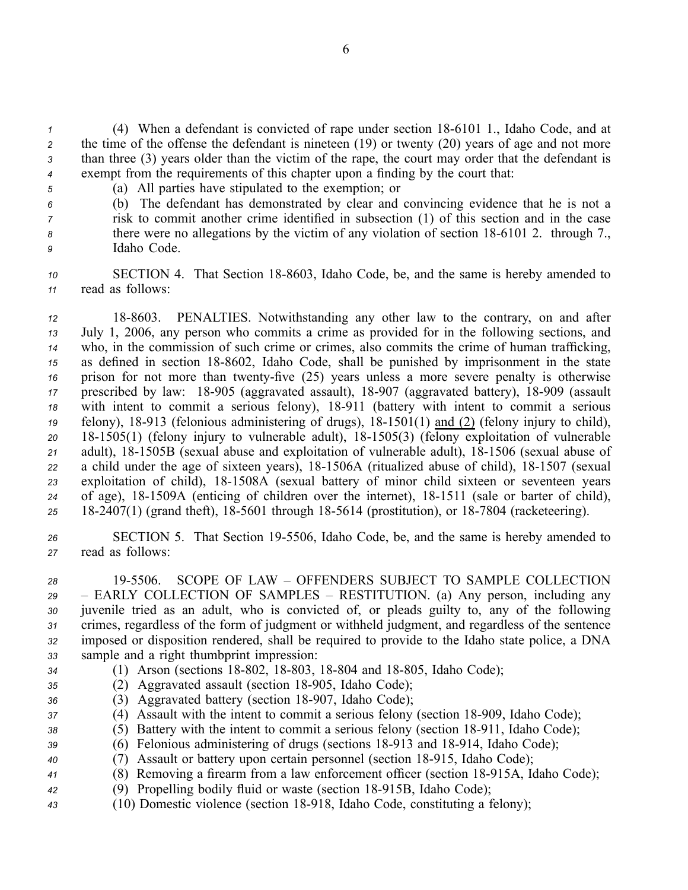(4) When <sup>a</sup> defendant is convicted of rape under section 186101 1., Idaho Code, and at the time of the offense the defendant is nineteen (19) or twenty (20) years of age and not more than three (3) years older than the victim of the rape, the court may order that the defendant is exemp<sup>t</sup> from the requirements of this chapter upon <sup>a</sup> finding by the court that:

- 
- *<sup>5</sup>* (a) All parties have stipulated to the exemption; or
- *<sup>6</sup>* (b) The defendant has demonstrated by clear and convincing evidence that he is not <sup>a</sup> *<sup>7</sup>* risk to commit another crime identified in subsection (1) of this section and in the case *8* there were no allegations by the victim of any violation of section 18-6101 2. through 7., *<sup>9</sup>* Idaho Code.

10 **SECTION 4.** That Section 18-8603, Idaho Code, be, and the same is hereby amended to *<sup>11</sup>* read as follows:

*<sup>12</sup>* 188603. PENALTIES. Notwithstanding any other law to the contrary, on and after *<sup>13</sup>* July 1, 2006, any person who commits <sup>a</sup> crime as provided for in the following sections, and *<sup>14</sup>* who, in the commission of such crime or crimes, also commits the crime of human trafficking, 15 as defined in section 18-8602, Idaho Code, shall be punished by imprisonment in the state *16* prison for not more than twenty-five (25) years unless a more severe penalty is otherwise 17 prescribed by law: 18-905 (aggravated assault), 18-907 (aggravated battery), 18-909 (assault 18 with intent to commit a serious felony), 18-911 (battery with intent to commit a serious *19* felony), 18-913 (felonious administering of drugs), 18-1501(1) and (2) (felony injury to child), *<sup>20</sup>* 181505(1) (felony injury to vulnerable adult), 181505(3) (felony exploitation of vulnerable 21 adult), 18-1505B (sexual abuse and exploitation of vulnerable adult), 18-1506 (sexual abuse of 22 a child under the age of sixteen years), 18-1506A (ritualized abuse of child), 18-1507 (sexual *<sup>23</sup>* exploitation of child), 181508A (sexual battery of minor child sixteen or seventeen years 24 of age), 18-1509A (enticing of children over the internet), 18-1511 (sale or barter of child), 25 18-2407(1) (grand theft), 18-5601 through 18-5614 (prostitution), or 18-7804 (racketeering).

*<sup>26</sup>* SECTION 5. That Section 195506, Idaho Code, be, and the same is hereby amended to *<sup>27</sup>* read as follows:

 195506. SCOPE OF LAW – OFFENDERS SUBJECT TO SAMPLE COLLECTION – EARLY COLLECTION OF SAMPLES – RESTITUTION. (a) Any person, including any juvenile tried as an adult, who is convicted of, or pleads guilty to, any of the following crimes, regardless of the form of judgment or withheld judgment, and regardless of the sentence imposed or disposition rendered, shall be required to provide to the Idaho state police, <sup>a</sup> DNA sample and <sup>a</sup> right thumbprint impression:

- 
- *34* (1) Arson (sections 18-802, 18-803, 18-804 and 18-805, Idaho Code);
- 35 (2) Aggravated assault (section 18-905, Idaho Code);
- 36 (3) Aggravated battery (section 18-907, Idaho Code);
- *37* (4) Assault with the intent to commit a serious felony (section 18-909, Idaho Code);
- 38 (5) Battery with the intent to commit a serious felony (section 18-911, Idaho Code);
- *39* (6) Felonious administering of drugs (sections 18-913 and 18-914, Idaho Code);
- *40* (7) Assault or battery upon certain personnel (section 18-915, Idaho Code);
- 41 (8) Removing a firearm from a law enforcement officer (section 18-915A, Idaho Code);
- 42 (9) Propelling bodily fluid or waste (section 18-915B, Idaho Code);
- *<sup>43</sup>* (10) Domestic violence (section 18918, Idaho Code, constituting <sup>a</sup> felony);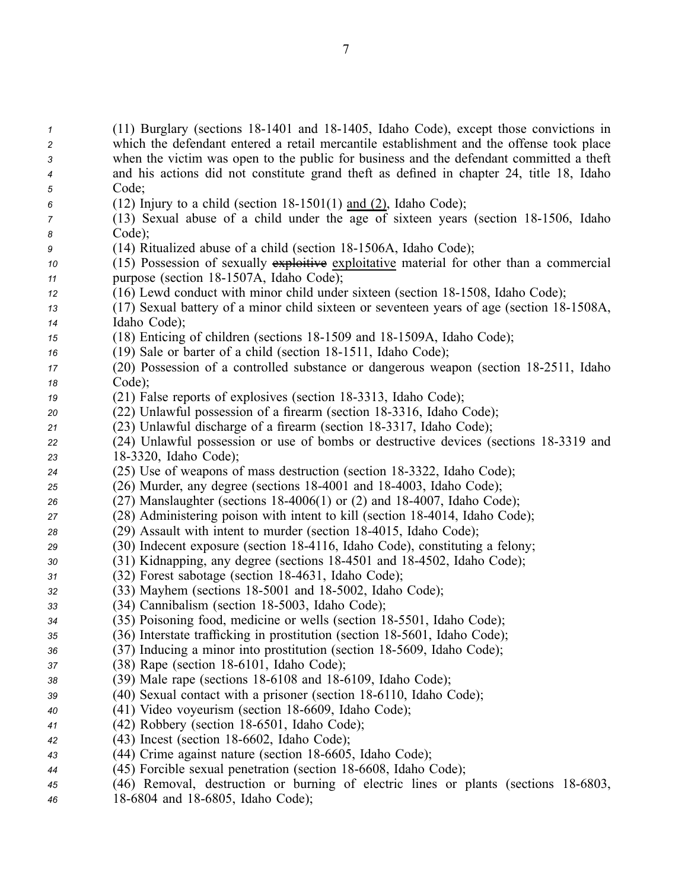(11) Burglary (sections 18-1401 and 18-1405, Idaho Code), except those convictions in which the defendant entered <sup>a</sup> retail mercantile establishment and the offense took place when the victim was open to the public for business and the defendant committed <sup>a</sup> theft and his actions did not constitute grand theft as defined in chapter 24, title 18, Idaho *<sup>5</sup>* Code; (12) Injury to a child (section  $18-1501(1)$  and (2), Idaho Code); (13) Sexual abuse of a child under the age of sixteen years (section 18-1506, Idaho *<sup>8</sup>* Code); (14) Ritualized abuse of a child (section 18-1506A, Idaho Code); (15) Possession of sexually exploitive exploitative material for other than <sup>a</sup> commercial **purpose** (section 18-1507A, Idaho Code); (16) Lewd conduct with minor child under sixteen (section 181508, Idaho Code); 13 (17) Sexual battery of a minor child sixteen or seventeen years of age (section 18-1508A, Idaho Code); (18) Enticing of children (sections 181509 and 181509A, Idaho Code); (19) Sale or barter of a child (section 18-1511, Idaho Code); (20) Possession of a controlled substance or dangerous weapon (section 18-2511, Idaho *<sup>18</sup>* Code); (21) False reports of explosives (section 18-3313, Idaho Code); (22) Unlawful possession of a firearm (section 18-3316, Idaho Code); 21 (23) Unlawful discharge of a firearm (section 18-3317, Idaho Code); (24) Unlawful possession or use of bombs or destructive devices (sections 183319 and 183320, Idaho Code); 24 (25) Use of weapons of mass destruction (section 18-3322, Idaho Code); (26) Murder, any degree (sections 184001 and 184003, Idaho Code); (27) Manslaughter (sections 184006(1) or (2) and 184007, Idaho Code); (28) Administering poison with intent to kill (section 18-4014, Idaho Code); (29) Assault with intent to murder (section 18-4015, Idaho Code); (30) Indecent exposure (section 184116, Idaho Code), constituting <sup>a</sup> felony; (31) Kidnapping, any degree (sections 184501 and 184502, Idaho Code); (32) Forest sabotage (section 184631, Idaho Code); (33) Mayhem (sections 185001 and 185002, Idaho Code); (34) Cannibalism (section 185003, Idaho Code); (35) Poisoning food, medicine or wells (section 185501, Idaho Code); (36) Interstate trafficking in prostitution (section 185601, Idaho Code); (37) Inducing <sup>a</sup> minor into prostitution (section 185609, Idaho Code); (38) Rape (section 18-6101, Idaho Code); 38 (39) Male rape (sections 18-6108 and 18-6109, Idaho Code); (40) Sexual contact with a prisoner (section 18-6110, Idaho Code); 40 (41) Video voyeurism (section 18-6609, Idaho Code); 41 (42) Robbery (section 18-6501, Idaho Code); (43) Incest (section 186602, Idaho Code); 43 (44) Crime against nature (section 18-6605, Idaho Code); (45) Forcible sexual penetration (section 186608, Idaho Code); (46) Removal, destruction or burning of electric lines or plants (sections 186803, 186804 and 186805, Idaho Code);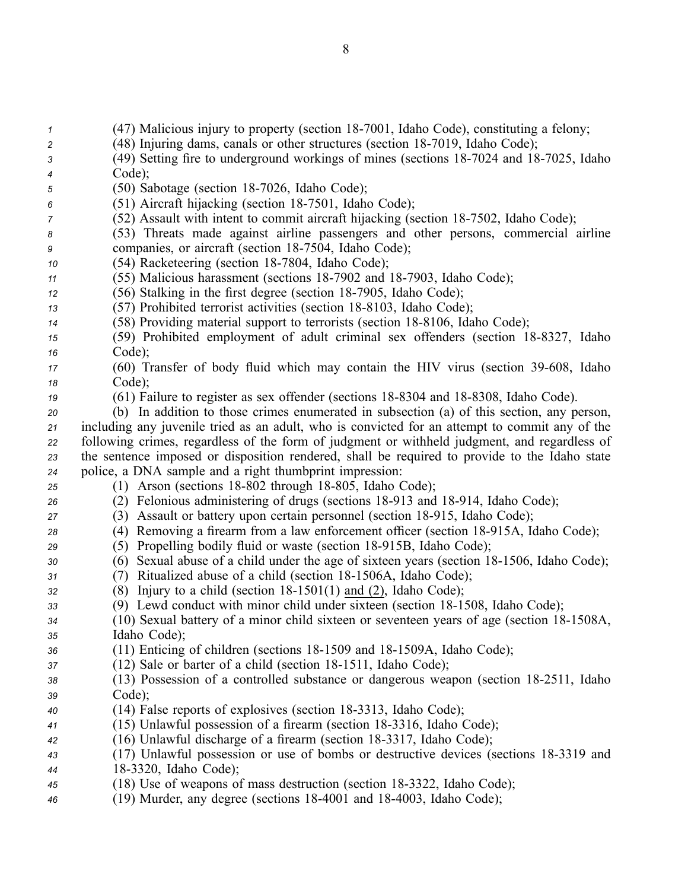(47) Malicious injury to property (section 18-7001, Idaho Code), constituting a felony; (48) Injuring dams, canals or other structures (section 18-7019, Idaho Code); (49) Setting fire to underground workings of mines (sections 187024 and 187025, Idaho *<sup>4</sup>* Code); (50) Sabotage (section 18-7026, Idaho Code); (51) Aircraft hijacking (section 187501, Idaho Code); (52) Assault with intent to commit aircraft hijacking (section 18-7502, Idaho Code); (53) Threats made against airline passengers and other persons, commercial airline companies, or aircraft (section 18-7504, Idaho Code); (54) Racketeering (section 18-7804, Idaho Code); (55) Malicious harassment (sections 187902 and 187903, Idaho Code); 12 (56) Stalking in the first degree (section 18-7905, Idaho Code); (57) Prohibited terrorist activities (section 18-8103, Idaho Code); (58) Providing material support to terrorists (section 18-8106, Idaho Code); (59) Prohibited employment of adult criminal sex offenders (section 188327, Idaho *<sup>16</sup>* Code); (60) Transfer of body fluid which may contain the HIV virus (section 39608, Idaho *<sup>18</sup>* Code); (61) Failure to register as sex offender (sections 18-8304 and 18-8308, Idaho Code). (b) In addition to those crimes enumerated in subsection (a) of this section, any person, including any juvenile tried as an adult, who is convicted for an attempt to commit any of the following crimes, regardless of the form of judgment or withheld judgment, and regardless of the sentence imposed or disposition rendered, shall be required to provide to the Idaho state police, <sup>a</sup> DNA sample and <sup>a</sup> right thumbprint impression: (1) Arson (sections 18-802 through 18-805, Idaho Code); (2) Felonious administering of drugs (sections 18913 and 18914, Idaho Code); (3) Assault or battery upon certain personnel (section 18-915, Idaho Code); (4) Removing a firearm from a law enforcement officer (section 18-915A, Idaho Code); (5) Propelling bodily fluid or waste (section 18-915B, Idaho Code); **30** (6) Sexual abuse of a child under the age of sixteen years (section 18-1506, Idaho Code); (7) Ritualized abuse of <sup>a</sup> child (section 181506A, Idaho Code); (8) Injury to a child (section  $18-1501(1)$  and (2), Idaho Code); 33 (9) Lewd conduct with minor child under sixteen (section 18-1508, Idaho Code); (10) Sexual battery of a minor child sixteen or seventeen years of age (section 18-1508A, Idaho Code); (11) Enticing of children (sections 181509 and 181509A, Idaho Code); (12) Sale or barter of a child (section 18-1511, Idaho Code); 38 (13) Possession of a controlled substance or dangerous weapon (section 18-2511, Idaho *<sup>39</sup>* Code); 40 (14) False reports of explosives (section 18-3313, Idaho Code); (15) Unlawful possession of <sup>a</sup> firearm (section 183316, Idaho Code); (16) Unlawful discharge of <sup>a</sup> firearm (section 183317, Idaho Code); (17) Unlawful possession or use of bombs or destructive devices (sections 183319 and 183320, Idaho Code); 45 (18) Use of weapons of mass destruction (section 18-3322, Idaho Code); (19) Murder, any degree (sections 184001 and 184003, Idaho Code);

8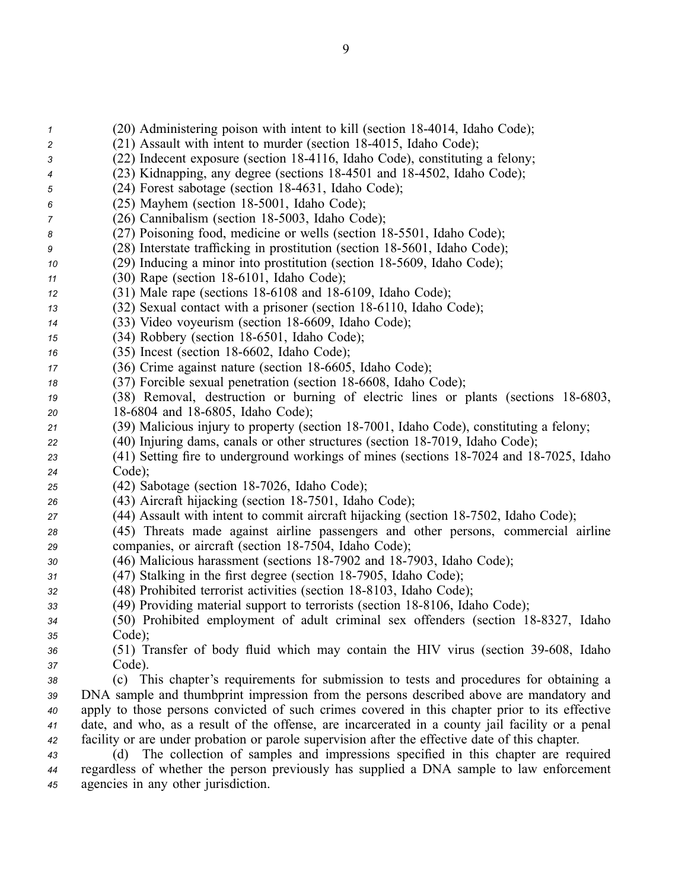(20) Administering poison with intent to kill (section 18-4014, Idaho Code); 2 (21) Assault with intent to murder (section 18-4015, Idaho Code); (22) Indecent exposure (section 184116, Idaho Code), constituting <sup>a</sup> felony; (23) Kidnapping, any degree (sections 184501 and 184502, Idaho Code); (24) Forest sabotage (section 184631, Idaho Code); (25) Mayhem (section 18-5001, Idaho Code); (26) Cannibalism (section 18-5003, Idaho Code); (27) Poisoning food, medicine or wells (section 185501, Idaho Code); (28) Interstate trafficking in prostitution (section 185601, Idaho Code); (29) Inducing a minor into prostitution (section 18-5609, Idaho Code); (30) Rape (section 18-6101, Idaho Code); (31) Male rape (sections 18-6108 and 18-6109, Idaho Code); (32) Sexual contact with a prisoner (section 18-6110, Idaho Code); (33) Video voyeurism (section 18-6609, Idaho Code); (34) Robbery (section 18-6501, Idaho Code); (35) Incest (section 18-6602, Idaho Code); (36) Crime against nature (section 18-6605, Idaho Code); (37) Forcible sexual penetration (section 18-6608, Idaho Code); (38) Removal, destruction or burning of electric lines or plants (sections 186803, 18-6804 and 18-6805, Idaho Code); 21 (39) Malicious injury to property (section 18-7001, Idaho Code), constituting a felony; (40) Injuring dams, canals or other structures (section 18-7019, Idaho Code); 23 (41) Setting fire to underground workings of mines (sections 18-7024 and 18-7025, Idaho *<sup>24</sup>* Code); (42) Sabotage (section 18-7026, Idaho Code); 26 (43) Aircraft hijacking (section 18-7501, Idaho Code); 27 (44) Assault with intent to commit aircraft hijacking (section 18-7502, Idaho Code); (45) Threats made against airline passengers and other persons, commercial airline companies, or aircraft (section 18-7504, Idaho Code); (46) Malicious harassment (sections 18-7902 and 18-7903, Idaho Code); (47) Stalking in the first degree (section 18-7905, Idaho Code); (48) Prohibited terrorist activities (section 18-8103, Idaho Code); 33 (49) Providing material support to terrorists (section 18-8106, Idaho Code); (50) Prohibited employment of adult criminal sex offenders (section 188327, Idaho *<sup>35</sup>* Code); (51) Transfer of body fluid which may contain the HIV virus (section 39608, Idaho *<sup>37</sup>* Code). (c) This chapter's requirements for submission to tests and procedures for obtaining <sup>a</sup> DNA sample and thumbprint impression from the persons described above are mandatory and apply to those persons convicted of such crimes covered in this chapter prior to its effective date, and who, as <sup>a</sup> result of the offense, are incarcerated in <sup>a</sup> county jail facility or <sup>a</sup> penal facility or are under probation or parole supervision after the effective date of this chapter. (d) The collection of samples and impressions specified in this chapter are required regardless of whether the person previously has supplied <sup>a</sup> DNA sample to law enforcement

*<sup>45</sup>* agencies in any other jurisdiction.

9